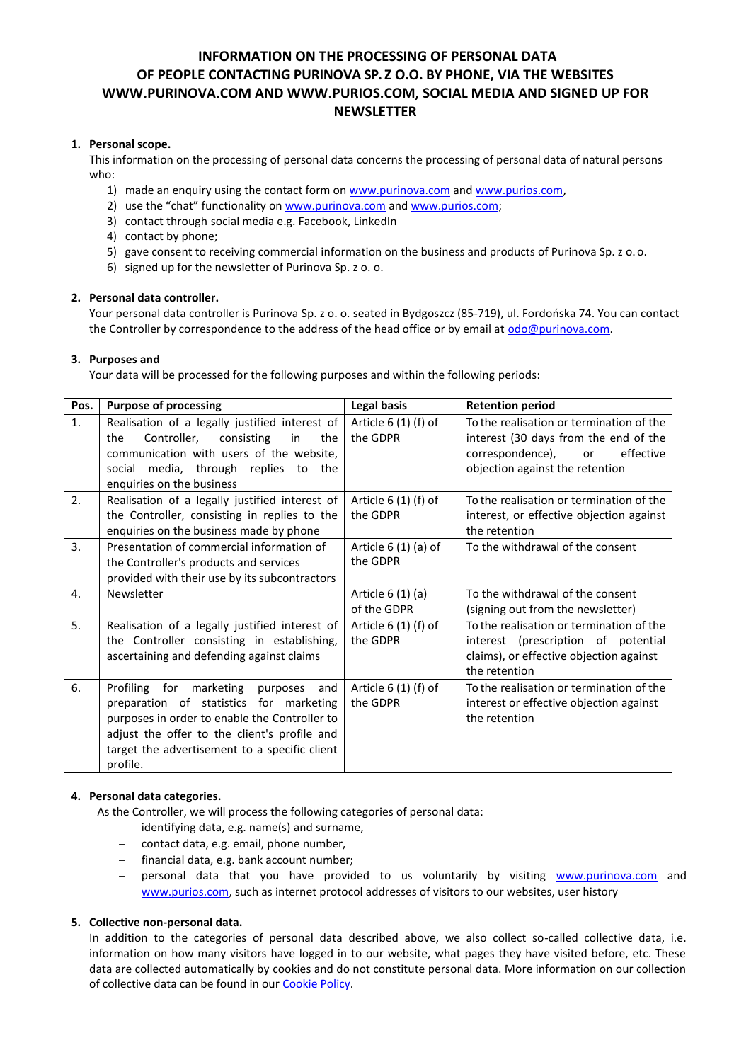# **INFORMATION ON THE PROCESSING OF PERSONAL DATA OF PEOPLE CONTACTING PURINOVA SP. Z O.O. BY PHONE, VIA THE WEBSITES WWW.PURINOVA.COM AND WWW.PURIOS.COM, SOCIAL MEDIA AND SIGNED UP FOR NEWSLETTER**

# **1. Personal scope.**

This information on the processing of personal data concerns the processing of personal data of natural persons who:

- 1) made an enquiry using the contact form on [www.purinova.com](http://www.purinova.com/) and [www.purios.com](http://www.purios.com/),
- 2) use the "chat" functionality on [www.purinova.com](http://www.purinova.com/) and [www.purios.com;](http://www.purios.com/)
- 3) contact through social media e.g. Facebook, LinkedIn
- 4) contact by phone;
- 5) gave consent to receiving commercial information on the business and products of Purinova Sp. z o.o.
- 6) signed up for the newsletter of Purinova Sp. z o. o.

# **2. Personal data controller.**

Your personal data controller is Purinova Sp. z o. o. seated in Bydgoszcz (85-719), ul. Fordońska 74. You can contact the Controller by correspondence to the address of the head office or by email a[t odo@purinova.com.](mailto:odo@purinova.com)

### **3. Purposes and**

Your data will be processed for the following purposes and within the following periods:

| Pos. | <b>Purpose of processing</b>                                                                                                                                                                                                                           | Legal basis                       | <b>Retention period</b>                                                                                                                                     |
|------|--------------------------------------------------------------------------------------------------------------------------------------------------------------------------------------------------------------------------------------------------------|-----------------------------------|-------------------------------------------------------------------------------------------------------------------------------------------------------------|
| 1.   | Realisation of a legally justified interest of<br>Controller,<br>consisting<br>the<br>in<br>the<br>communication with users of the website,<br>social media, through replies<br>to the<br>enquiries on the business                                    | Article $6(1)$ (f) of<br>the GDPR | To the realisation or termination of the<br>interest (30 days from the end of the<br>correspondence),<br>effective<br>or<br>objection against the retention |
| 2.   | Realisation of a legally justified interest of<br>the Controller, consisting in replies to the<br>enquiries on the business made by phone                                                                                                              | Article $6(1)$ (f) of<br>the GDPR | To the realisation or termination of the<br>interest, or effective objection against<br>the retention                                                       |
| 3.   | Presentation of commercial information of<br>the Controller's products and services<br>provided with their use by its subcontractors                                                                                                                   | Article $6(1)(a)$ of<br>the GDPR  | To the withdrawal of the consent                                                                                                                            |
| 4.   | Newsletter                                                                                                                                                                                                                                             | Article $6(1)(a)$<br>of the GDPR  | To the withdrawal of the consent<br>(signing out from the newsletter)                                                                                       |
| 5.   | Realisation of a legally justified interest of<br>the Controller consisting in establishing,<br>ascertaining and defending against claims                                                                                                              | Article $6(1)$ (f) of<br>the GDPR | To the realisation or termination of the<br>interest (prescription of potential<br>claims), or effective objection against<br>the retention                 |
| 6.   | Profiling for<br>marketing<br>and<br>purposes<br>preparation of statistics for marketing<br>purposes in order to enable the Controller to<br>adjust the offer to the client's profile and<br>target the advertisement to a specific client<br>profile. | Article $6(1)$ (f) of<br>the GDPR | To the realisation or termination of the<br>interest or effective objection against<br>the retention                                                        |

### **4. Personal data categories.**

As the Controller, we will process the following categories of personal data:

- − identifying data, e.g. name(s) and surname,
- − contact data, e.g. email, phone number,
- − financial data, e.g. bank account number;
- personal data that you have provided to us voluntarily by visiting [www.purinova.com](http://www.purinova.com/) and [www.purios.com,](http://www.purios.com/) such as internet protocol addresses of visitors to our websites, user history

#### **5. Collective non-personal data.**

In addition to the categories of personal data described above, we also collect so-called collective data, i.e. information on how many visitors have logged in to our website, what pages they have visited before, etc. These data are collected automatically by cookies and do not constitute personal data. More information on our collection of collective data can be found in our [Cookie Policy.](https://purinova.com/images/upload/polityka-prywatnosci/cookies-and-other-following-technologies.pdf)